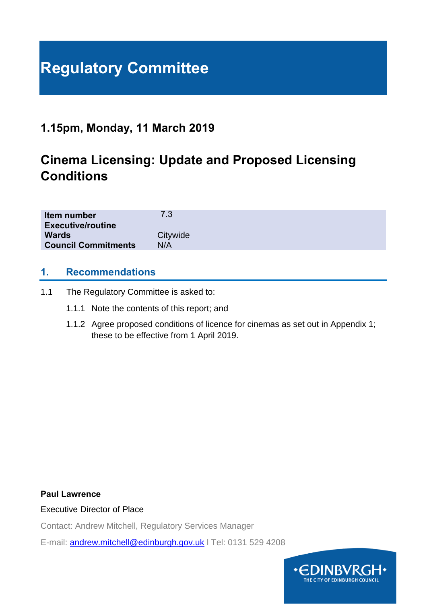# **Regulatory Committee**

# **1.15pm, Monday, 11 March 2019**

# **Cinema Licensing: Update and Proposed Licensing Conditions**

| Item number<br><b>Executive/routine</b> | 7.3      |
|-----------------------------------------|----------|
| <b>Wards</b>                            | Citywide |
| <b>Council Commitments</b>              | N/A      |

# **1. Recommendations**

- 1.1 The Regulatory Committee is asked to:
	- 1.1.1 Note the contents of this report; and
	- 1.1.2 Agree proposed conditions of licence for cinemas as set out in Appendix 1; these to be effective from 1 April 2019.

#### **Paul Lawrence**

#### Executive Director of Place

Contact: Andrew Mitchell, Regulatory Services Manager

E-mail: [andrew.mitchell@edinburgh.gov.uk](mailto:andrew.mitchell@edinburgh.gov.uk) l Tel: 0131 529 4208

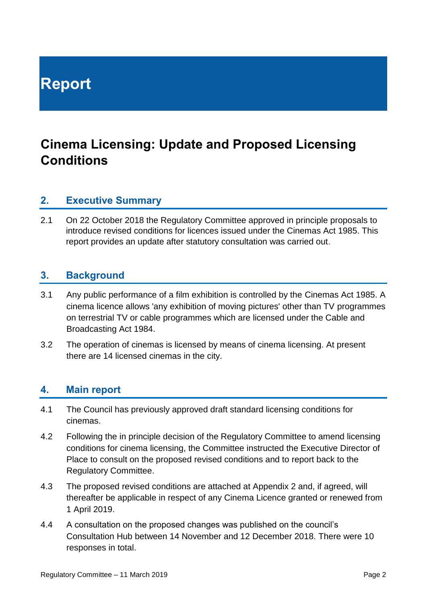# **Report**

# **Cinema Licensing: Update and Proposed Licensing Conditions**

# **2. Executive Summary**

2.1 On 22 October 2018 the Regulatory Committee approved in principle proposals to introduce revised conditions for licences issued under the Cinemas Act 1985. This report provides an update after statutory consultation was carried out.

# **3. Background**

- 3.1 Any public performance of a film exhibition is controlled by the [Cinemas Act 1985.](http://www.legislation.gov.uk/ukpga/1985/13) A cinema licence allows 'any exhibition of moving pictures' other than TV programmes on terrestrial TV or cable programmes which are licensed under the Cable and Broadcasting Act 1984.
- 3.2 The operation of cinemas is licensed by means of cinema licensing. At present there are 14 licensed cinemas in the city.

# **4. Main report**

- 4.1 The Council has previously approved draft standard licensing conditions for cinemas.
- 4.2 Following the in principle decision of the Regulatory Committee to amend licensing conditions for cinema licensing, the Committee instructed the Executive Director of Place to consult on the proposed revised conditions and to report back to the Regulatory Committee.
- 4.3 The proposed revised conditions are attached at Appendix 2 and, if agreed, will thereafter be applicable in respect of any Cinema Licence granted or renewed from 1 April 2019.
- 4.4 A consultation on the proposed changes was published on the council's Consultation Hub between 14 November and 12 December 2018. There were 10 responses in total.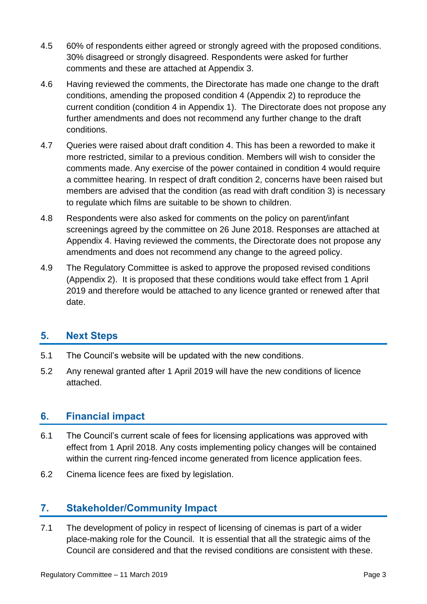- 4.5 60% of respondents either agreed or strongly agreed with the proposed conditions. 30% disagreed or strongly disagreed. Respondents were asked for further comments and these are attached at Appendix 3.
- 4.6 Having reviewed the comments, the Directorate has made one change to the draft conditions, amending the proposed condition 4 (Appendix 2) to reproduce the current condition (condition 4 in Appendix 1). The Directorate does not propose any further amendments and does not recommend any further change to the draft conditions.
- 4.7 Queries were raised about draft condition 4. This has been a reworded to make it more restricted, similar to a previous condition. Members will wish to consider the comments made. Any exercise of the power contained in condition 4 would require a committee hearing. In respect of draft condition 2, concerns have been raised but members are advised that the condition (as read with draft condition 3) is necessary to regulate which films are suitable to be shown to children.
- 4.8 Respondents were also asked for comments on the policy on parent/infant screenings agreed by the committee on 26 June 2018. Responses are attached at Appendix 4. Having reviewed the comments, the Directorate does not propose any amendments and does not recommend any change to the agreed policy.
- 4.9 The Regulatory Committee is asked to approve the proposed revised conditions (Appendix 2). It is proposed that these conditions would take effect from 1 April 2019 and therefore would be attached to any licence granted or renewed after that date.

# **5. Next Steps**

- 5.1 The Council's website will be updated with the new conditions.
- 5.2 Any renewal granted after 1 April 2019 will have the new conditions of licence attached.

# **6. Financial impact**

- 6.1 The Council's current scale of fees for licensing applications was approved with effect from 1 April 2018. Any costs implementing policy changes will be contained within the current ring-fenced income generated from licence application fees.
- 6.2 Cinema licence fees are fixed by legislation.

# **7. Stakeholder/Community Impact**

7.1 The development of policy in respect of licensing of cinemas is part of a wider place-making role for the Council. It is essential that all the strategic aims of the Council are considered and that the revised conditions are consistent with these.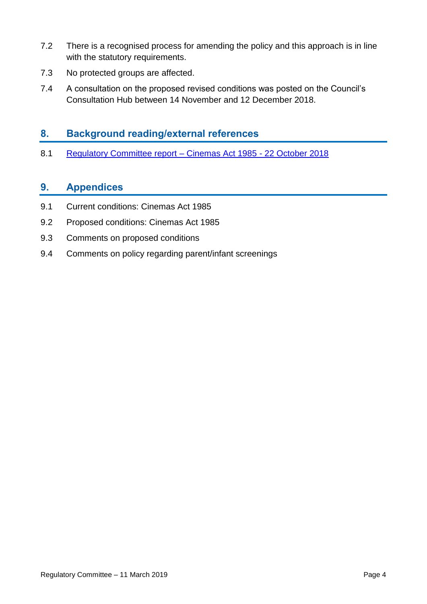- 7.2 There is a recognised process for amending the policy and this approach is in line with the statutory requirements.
- 7.3 No protected groups are affected.
- 7.4 A consultation on the proposed revised conditions was posted on the Council's Consultation Hub between 14 November and 12 December 2018.

# **8. Background reading/external references**

8.1 [Regulatory Committee report –](http://www.edinburgh.gov.uk/download/meetings/id/58893/item_78_-_cinemas_act_1985_%E2%80%93_proposed_update_to_licensing_conditions) Cinemas Act 1985 - 22 October 2018

# **9. Appendices**

- 9.1 Current conditions: Cinemas Act 1985
- 9.2 Proposed conditions: Cinemas Act 1985
- 9.3 Comments on proposed conditions
- 9.4 Comments on policy regarding parent/infant screenings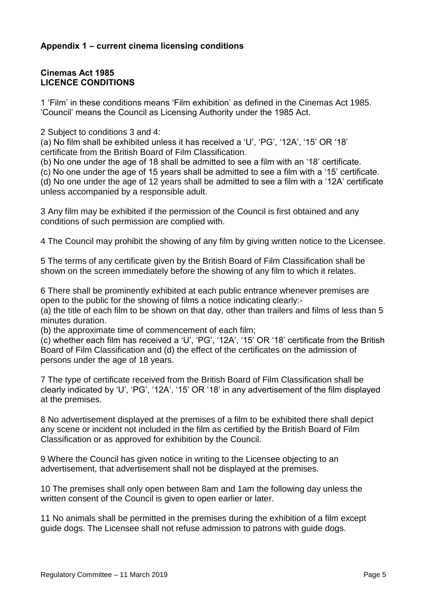### **Appendix 1 – current cinema licensing conditions**

#### **Cinemas Act 1985 LICENCE CONDITIONS**

1 'Film' in these conditions means 'Film exhibition' as defined in the Cinemas Act 1985. 'Council' means the Council as Licensing Authority under the 1985 Act.

2 Subject to conditions 3 and 4:

(a) No film shall be exhibited unless it has received a 'U', 'PG', '12A', '15' OR '18' certificate from the British Board of Film Classification.

(b) No one under the age of 18 shall be admitted to see a film with an '18' certificate.

(c) No one under the age of 15 years shall be admitted to see a film with a '15' certificate. (d) No one under the age of 12 years shall be admitted to see a film with a '12A' certificate unless accompanied by a responsible adult.

3 Any film may be exhibited if the permission of the Council is first obtained and any conditions of such permission are complied with.

4 The Council may prohibit the showing of any film by giving written notice to the Licensee.

5 The terms of any certificate given by the British Board of Film Classification shall be shown on the screen immediately before the showing of any film to which it relates.

6 There shall be prominently exhibited at each public entrance whenever premises are open to the public for the showing of films a notice indicating clearly:-

(a) the title of each film to be shown on that day, other than trailers and films of less than 5 minutes duration.

(b) the approximate time of commencement of each film;

(c) whether each film has received a 'U', 'PG', '12A', '15' OR '18' certificate from the British Board of Film Classification and (d) the effect of the certificates on the admission of persons under the age of 18 years.

7 The type of certificate received from the British Board of Film Classification shall be clearly indicated by 'U', 'PG', '12A', '15' OR '18' in any advertisement of the film displayed at the premises.

8 No advertisement displayed at the premises of a film to be exhibited there shall depict any scene or incident not included in the film as certified by the British Board of Film Classification or as approved for exhibition by the Council.

9 Where the Council has given notice in writing to the Licensee objecting to an advertisement, that advertisement shall not be displayed at the premises.

10 The premises shall only open between 8am and 1am the following day unless the written consent of the Council is given to open earlier or later.

11 No animals shall be permitted in the premises during the exhibition of a film except guide dogs. The Licensee shall not refuse admission to patrons with guide dogs.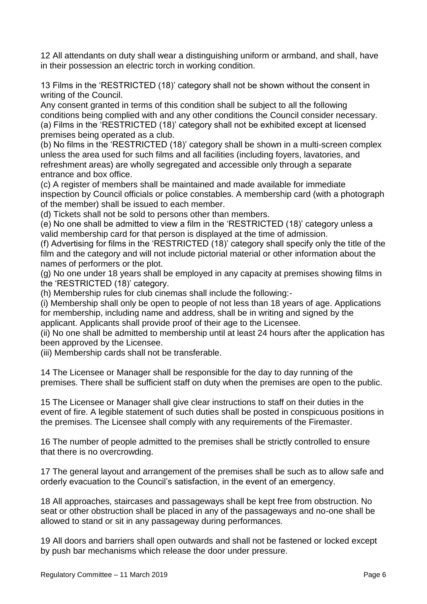12 All attendants on duty shall wear a distinguishing uniform or armband, and shall, have in their possession an electric torch in working condition.

13 Films in the 'RESTRICTED (18)' category shall not be shown without the consent in writing of the Council.

Any consent granted in terms of this condition shall be subject to all the following conditions being complied with and any other conditions the Council consider necessary. (a) Films in the 'RESTRICTED (18)' category shall not be exhibited except at licensed premises being operated as a club.

(b) No films in the 'RESTRICTED (18)' category shall be shown in a multi-screen complex unless the area used for such films and all facilities (including foyers, lavatories, and refreshment areas) are wholly segregated and accessible only through a separate entrance and box office.

(c) A register of members shall be maintained and made available for immediate inspection by Council officials or police constables. A membership card (with a photograph of the member) shall be issued to each member.

(d) Tickets shall not be sold to persons other than members.

(e) No one shall be admitted to view a film in the 'RESTRICTED (18)' category unless a valid membership card for that person is displayed at the time of admission.

(f) Advertising for films in the 'RESTRICTED (18)' category shall specify only the title of the film and the category and will not include pictorial material or other information about the names of performers or the plot.

(g) No one under 18 years shall be employed in any capacity at premises showing films in the 'RESTRICTED (18)' category.

(h) Membership rules for club cinemas shall include the following:-

(i) Membership shall only be open to people of not less than 18 years of age. Applications for membership, including name and address, shall be in writing and signed by the applicant. Applicants shall provide proof of their age to the Licensee.

(ii) No one shall be admitted to membership until at least 24 hours after the application has been approved by the Licensee.

(iii) Membership cards shall not be transferable.

14 The Licensee or Manager shall be responsible for the day to day running of the premises. There shall be sufficient staff on duty when the premises are open to the public.

15 The Licensee or Manager shall give clear instructions to staff on their duties in the event of fire. A legible statement of such duties shall be posted in conspicuous positions in the premises. The Licensee shall comply with any requirements of the Firemaster.

16 The number of people admitted to the premises shall be strictly controlled to ensure that there is no overcrowding.

17 The general layout and arrangement of the premises shall be such as to allow safe and orderly evacuation to the Council's satisfaction, in the event of an emergency.

18 All approaches, staircases and passageways shall be kept free from obstruction. No seat or other obstruction shall be placed in any of the passageways and no-one shall be allowed to stand or sit in any passageway during performances.

19 All doors and barriers shall open outwards and shall not be fastened or locked except by push bar mechanisms which release the door under pressure.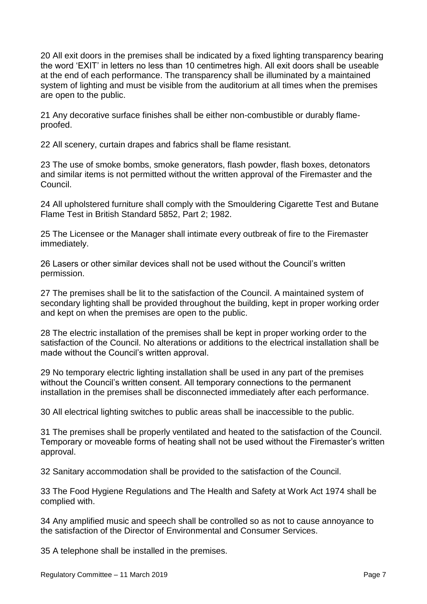20 All exit doors in the premises shall be indicated by a fixed lighting transparency bearing the word 'EXIT' in letters no less than 10 centimetres high. All exit doors shall be useable at the end of each performance. The transparency shall be illuminated by a maintained system of lighting and must be visible from the auditorium at all times when the premises are open to the public.

21 Any decorative surface finishes shall be either non-combustible or durably flameproofed.

22 All scenery, curtain drapes and fabrics shall be flame resistant.

23 The use of smoke bombs, smoke generators, flash powder, flash boxes, detonators and similar items is not permitted without the written approval of the Firemaster and the Council.

24 All upholstered furniture shall comply with the Smouldering Cigarette Test and Butane Flame Test in British Standard 5852, Part 2; 1982.

25 The Licensee or the Manager shall intimate every outbreak of fire to the Firemaster immediately.

26 Lasers or other similar devices shall not be used without the Council's written permission.

27 The premises shall be lit to the satisfaction of the Council. A maintained system of secondary lighting shall be provided throughout the building, kept in proper working order and kept on when the premises are open to the public.

28 The electric installation of the premises shall be kept in proper working order to the satisfaction of the Council. No alterations or additions to the electrical installation shall be made without the Council's written approval.

29 No temporary electric lighting installation shall be used in any part of the premises without the Council's written consent. All temporary connections to the permanent installation in the premises shall be disconnected immediately after each performance.

30 All electrical lighting switches to public areas shall be inaccessible to the public.

31 The premises shall be properly ventilated and heated to the satisfaction of the Council. Temporary or moveable forms of heating shall not be used without the Firemaster's written approval.

32 Sanitary accommodation shall be provided to the satisfaction of the Council.

33 The Food Hygiene Regulations and The Health and Safety at Work Act 1974 shall be complied with.

34 Any amplified music and speech shall be controlled so as not to cause annoyance to the satisfaction of the Director of Environmental and Consumer Services.

35 A telephone shall be installed in the premises.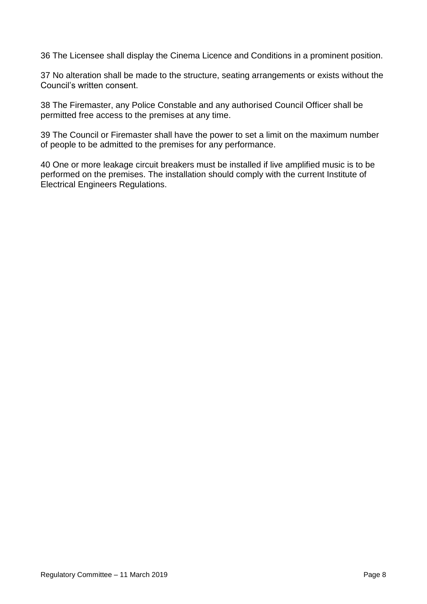36 The Licensee shall display the Cinema Licence and Conditions in a prominent position.

37 No alteration shall be made to the structure, seating arrangements or exists without the Council's written consent.

38 The Firemaster, any Police Constable and any authorised Council Officer shall be permitted free access to the premises at any time.

39 The Council or Firemaster shall have the power to set a limit on the maximum number of people to be admitted to the premises for any performance.

40 One or more leakage circuit breakers must be installed if live amplified music is to be performed on the premises. The installation should comply with the current Institute of Electrical Engineers Regulations.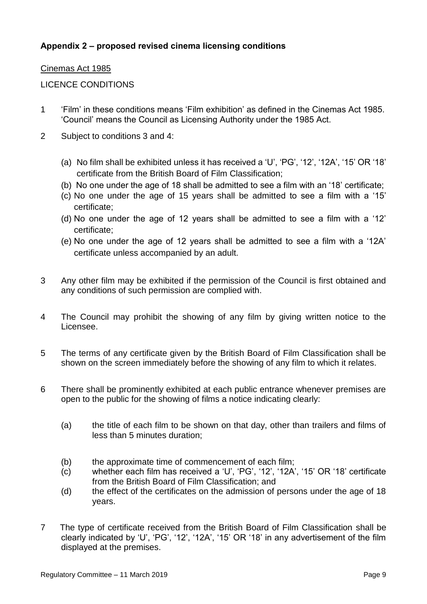## **Appendix 2 – proposed revised cinema licensing conditions**

#### Cinemas Act 1985

#### LICENCE CONDITIONS

- 1 'Film' in these conditions means 'Film exhibition' as defined in the Cinemas Act 1985. 'Council' means the Council as Licensing Authority under the 1985 Act.
- 2 Subject to conditions 3 and 4:
	- (a) No film shall be exhibited unless it has received a 'U', 'PG', '12', '12A', '15' OR '18' certificate from the British Board of Film Classification;
	- (b) No one under the age of 18 shall be admitted to see a film with an '18' certificate;
	- (c) No one under the age of 15 years shall be admitted to see a film with a '15' certificate;
	- (d) No one under the age of 12 years shall be admitted to see a film with a '12' certificate;
	- (e) No one under the age of 12 years shall be admitted to see a film with a '12A' certificate unless accompanied by an adult.
- 3 Any other film may be exhibited if the permission of the Council is first obtained and any conditions of such permission are complied with.
- 4 The Council may prohibit the showing of any film by giving written notice to the Licensee.
- 5 The terms of any certificate given by the British Board of Film Classification shall be shown on the screen immediately before the showing of any film to which it relates.
- 6 There shall be prominently exhibited at each public entrance whenever premises are open to the public for the showing of films a notice indicating clearly:
	- (a) the title of each film to be shown on that day, other than trailers and films of less than 5 minutes duration;
	- (b) the approximate time of commencement of each film;
	- (c) whether each film has received a 'U', 'PG', '12', '12A', '15' OR '18' certificate from the British Board of Film Classification; and
	- (d) the effect of the certificates on the admission of persons under the age of 18 years.
- 7 The type of certificate received from the British Board of Film Classification shall be clearly indicated by 'U', 'PG', '12', '12A', '15' OR '18' in any advertisement of the film displayed at the premises.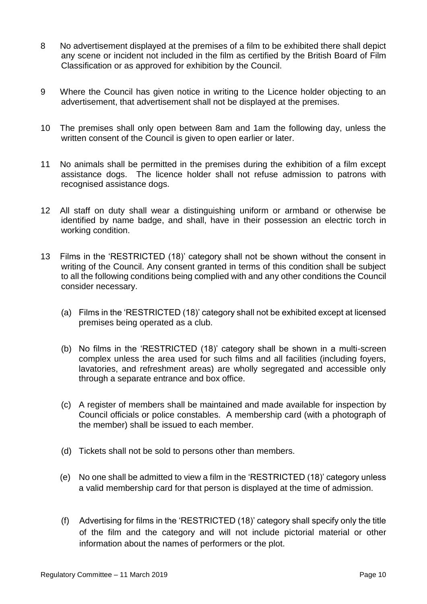- 8 No advertisement displayed at the premises of a film to be exhibited there shall depict any scene or incident not included in the film as certified by the British Board of Film Classification or as approved for exhibition by the Council.
- 9 Where the Council has given notice in writing to the Licence holder objecting to an advertisement, that advertisement shall not be displayed at the premises.
- 10 The premises shall only open between 8am and 1am the following day, unless the written consent of the Council is given to open earlier or later.
- 11 No animals shall be permitted in the premises during the exhibition of a film except assistance dogs. The licence holder shall not refuse admission to patrons with recognised assistance dogs.
- 12 All staff on duty shall wear a distinguishing uniform or armband or otherwise be identified by name badge, and shall, have in their possession an electric torch in working condition.
- 13 Films in the 'RESTRICTED (18)' category shall not be shown without the consent in writing of the Council. Any consent granted in terms of this condition shall be subject to all the following conditions being complied with and any other conditions the Council consider necessary.
	- (a) Films in the 'RESTRICTED (18)' category shall not be exhibited except at licensed premises being operated as a club.
	- (b) No films in the 'RESTRICTED (18)' category shall be shown in a multi-screen complex unless the area used for such films and all facilities (including foyers, lavatories, and refreshment areas) are wholly segregated and accessible only through a separate entrance and box office.
	- (c) A register of members shall be maintained and made available for inspection by Council officials or police constables. A membership card (with a photograph of the member) shall be issued to each member.
	- (d) Tickets shall not be sold to persons other than members.
	- (e) No one shall be admitted to view a film in the 'RESTRICTED (18)' category unless a valid membership card for that person is displayed at the time of admission.
	- (f) Advertising for films in the 'RESTRICTED (18)' category shall specify only the title of the film and the category and will not include pictorial material or other information about the names of performers or the plot.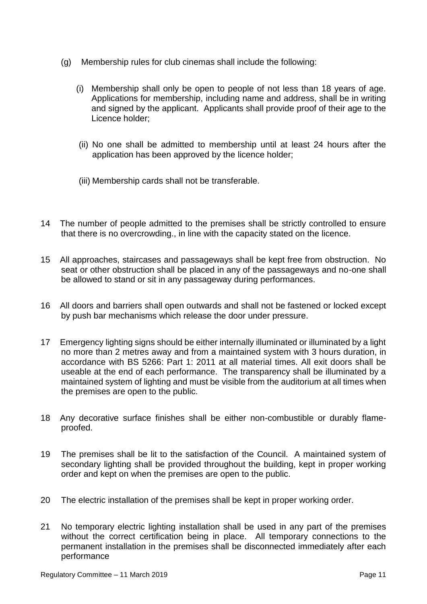- (g) Membership rules for club cinemas shall include the following:
	- (i) Membership shall only be open to people of not less than 18 years of age. Applications for membership, including name and address, shall be in writing and signed by the applicant. Applicants shall provide proof of their age to the Licence holder;
	- (ii) No one shall be admitted to membership until at least 24 hours after the application has been approved by the licence holder;
	- (iii) Membership cards shall not be transferable.
- 14 The number of people admitted to the premises shall be strictly controlled to ensure that there is no overcrowding., in line with the capacity stated on the licence.
- 15 All approaches, staircases and passageways shall be kept free from obstruction. No seat or other obstruction shall be placed in any of the passageways and no-one shall be allowed to stand or sit in any passageway during performances.
- 16 All doors and barriers shall open outwards and shall not be fastened or locked except by push bar mechanisms which release the door under pressure.
- 17 Emergency lighting signs should be either internally illuminated or illuminated by a light no more than 2 metres away and from a maintained system with 3 hours duration, in accordance with BS 5266: Part 1: 2011 at all material times. All exit doors shall be useable at the end of each performance. The transparency shall be illuminated by a maintained system of lighting and must be visible from the auditorium at all times when the premises are open to the public.
- 18 Any decorative surface finishes shall be either non-combustible or durably flameproofed.
- 19 The premises shall be lit to the satisfaction of the Council. A maintained system of secondary lighting shall be provided throughout the building, kept in proper working order and kept on when the premises are open to the public.
- 20 The electric installation of the premises shall be kept in proper working order.
- 21 No temporary electric lighting installation shall be used in any part of the premises without the correct certification being in place. All temporary connections to the permanent installation in the premises shall be disconnected immediately after each performance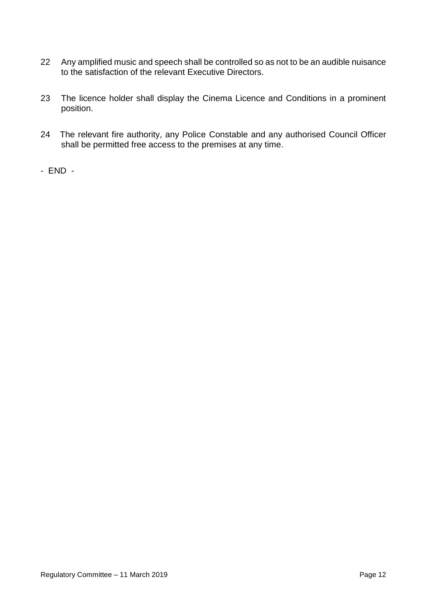- 22 Any amplified music and speech shall be controlled so as not to be an audible nuisance to the satisfaction of the relevant Executive Directors.
- 23 The licence holder shall display the Cinema Licence and Conditions in a prominent position.
- 24 The relevant fire authority, any Police Constable and any authorised Council Officer shall be permitted free access to the premises at any time.
- END -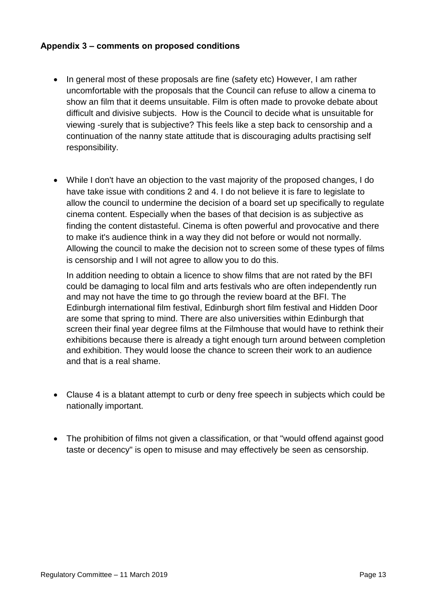### **Appendix 3 – comments on proposed conditions**

- In general most of these proposals are fine (safety etc) However, I am rather uncomfortable with the proposals that the Council can refuse to allow a cinema to show an film that it deems unsuitable. Film is often made to provoke debate about difficult and divisive subjects. How is the Council to decide what is unsuitable for viewing -surely that is subjective? This feels like a step back to censorship and a continuation of the nanny state attitude that is discouraging adults practising self responsibility.
- While I don't have an objection to the vast majority of the proposed changes, I do have take issue with conditions 2 and 4. I do not believe it is fare to legislate to allow the council to undermine the decision of a board set up specifically to regulate cinema content. Especially when the bases of that decision is as subjective as finding the content distasteful. Cinema is often powerful and provocative and there to make it's audience think in a way they did not before or would not normally. Allowing the council to make the decision not to screen some of these types of films is censorship and I will not agree to allow you to do this.

In addition needing to obtain a licence to show films that are not rated by the BFI could be damaging to local film and arts festivals who are often independently run and may not have the time to go through the review board at the BFI. The Edinburgh international film festival, Edinburgh short film festival and Hidden Door are some that spring to mind. There are also universities within Edinburgh that screen their final year degree films at the Filmhouse that would have to rethink their exhibitions because there is already a tight enough turn around between completion and exhibition. They would loose the chance to screen their work to an audience and that is a real shame.

- Clause 4 is a blatant attempt to curb or deny free speech in subjects which could be nationally important.
- The prohibition of films not given a classification, or that "would offend against good taste or decency" is open to misuse and may effectively be seen as censorship.